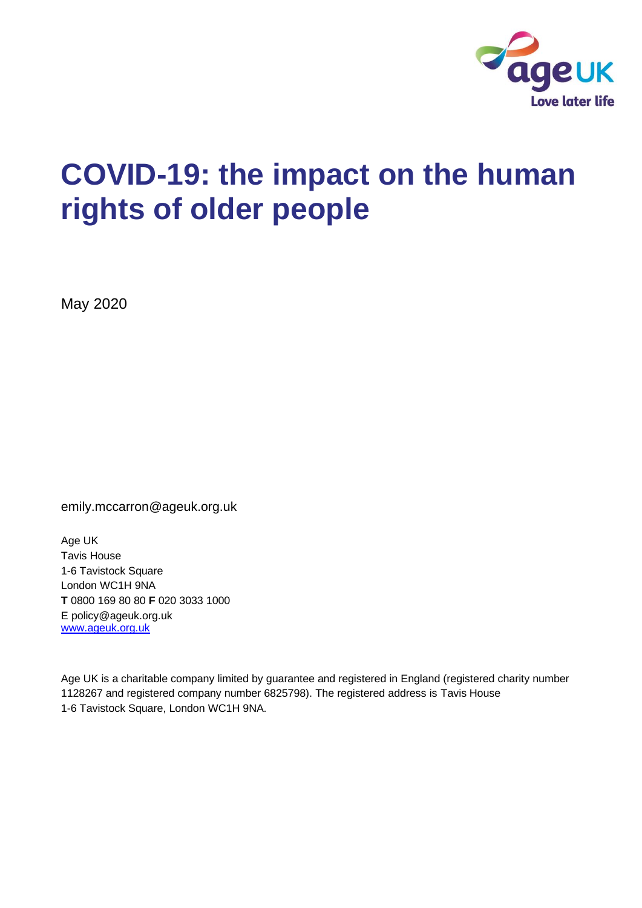

# **COVID-19: the impact on the human rights of older people**

May 2020

emily.mccarron@ageuk.org.uk

Age UK Tavis House 1-6 Tavistock Square London WC1H 9NA **T** 0800 169 80 80 **F** 020 3033 1000 E policy@ageuk.org.uk [www.ageuk.org.uk](http://www.ageuk.org.uk/)

Age UK is a charitable company limited by guarantee and registered in England (registered charity number 1128267 and registered company number 6825798). The registered address is Tavis House 1-6 Tavistock Square, London WC1H 9NA.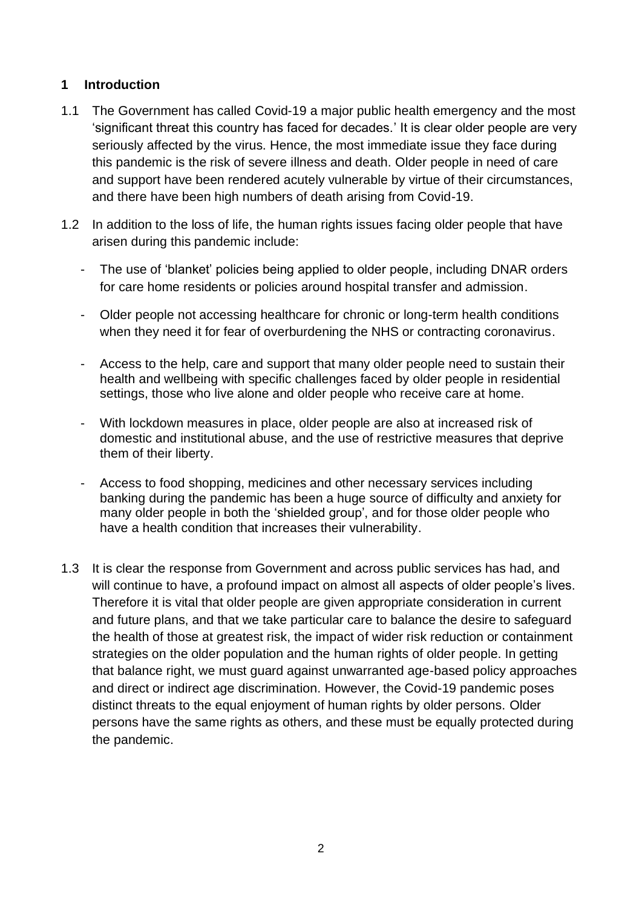## **1 Introduction**

- 1.1 The Government has called Covid-19 a major public health emergency and the most 'significant threat this country has faced for decades.' It is clear older people are very seriously affected by the virus. Hence, the most immediate issue they face during this pandemic is the risk of severe illness and death. Older people in need of care and support have been rendered acutely vulnerable by virtue of their circumstances, and there have been high numbers of death arising from Covid-19.
- 1.2 In addition to the loss of life, the human rights issues facing older people that have arisen during this pandemic include:
	- The use of 'blanket' policies being applied to older people, including DNAR orders for care home residents or policies around hospital transfer and admission.
	- Older people not accessing healthcare for chronic or long-term health conditions when they need it for fear of overburdening the NHS or contracting coronavirus.
	- Access to the help, care and support that many older people need to sustain their health and wellbeing with specific challenges faced by older people in residential settings, those who live alone and older people who receive care at home.
	- With lockdown measures in place, older people are also at increased risk of domestic and institutional abuse, and the use of restrictive measures that deprive them of their liberty.
	- Access to food shopping, medicines and other necessary services including banking during the pandemic has been a huge source of difficulty and anxiety for many older people in both the 'shielded group', and for those older people who have a health condition that increases their vulnerability.
- 1.3 It is clear the response from Government and across public services has had, and will continue to have, a profound impact on almost all aspects of older people's lives. Therefore it is vital that older people are given appropriate consideration in current and future plans, and that we take particular care to balance the desire to safeguard the health of those at greatest risk, the impact of wider risk reduction or containment strategies on the older population and the human rights of older people. In getting that balance right, we must guard against unwarranted age-based policy approaches and direct or indirect age discrimination. However, the Covid-19 pandemic poses distinct threats to the equal enjoyment of human rights by older persons. Older persons have the same rights as others, and these must be equally protected during the pandemic.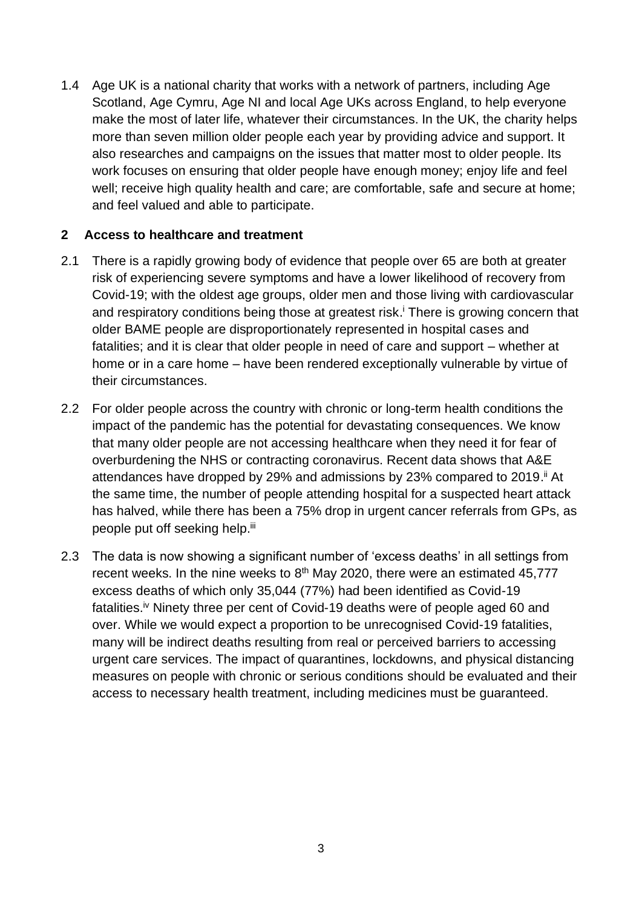1.4 Age UK is a national charity that works with a network of partners, including Age Scotland, Age Cymru, Age NI and local Age UKs across England, to help everyone make the most of later life, whatever their circumstances. In the UK, the charity helps more than seven million older people each year by providing advice and support. It also researches and campaigns on the issues that matter most to older people. Its work focuses on ensuring that older people have enough money; enjoy life and feel well; receive high quality health and care; are comfortable, safe and secure at home; and feel valued and able to participate.

### **2 Access to healthcare and treatment**

- 2.1 There is a rapidly growing body of evidence that people over 65 are both at greater risk of experiencing severe symptoms and have a lower likelihood of recovery from Covid-19; with the oldest age groups, older men and those living with cardiovascular and respiratory conditions being those at greatest risk. <sup>i</sup> There is growing concern that older BAME people are disproportionately represented in hospital cases and fatalities; and it is clear that older people in need of care and support – whether at home or in a care home – have been rendered exceptionally vulnerable by virtue of their circumstances.
- 2.2 For older people across the country with chronic or long-term health conditions the impact of the pandemic has the potential for devastating consequences. We know that many older people are not accessing healthcare when they need it for fear of overburdening the NHS or contracting coronavirus. Recent data shows that A&E attendances have dropped by 29% and admissions by 23% compared to 2019.<sup>ii</sup> At the same time, the number of people attending hospital for a suspected heart attack has halved, while there has been a 75% drop in urgent cancer referrals from GPs, as people put off seeking help.<sup>iii</sup>
- 2.3 The data is now showing a significant number of 'excess deaths' in all settings from recent weeks. In the nine weeks to  $8<sup>th</sup>$  May 2020, there were an estimated 45,777 excess deaths of which only 35,044 (77%) had been identified as Covid-19 fatalities.<sup>iv</sup> Ninety three per cent of Covid-19 deaths were of people aged 60 and over. While we would expect a proportion to be unrecognised Covid-19 fatalities, many will be indirect deaths resulting from real or perceived barriers to accessing urgent care services. The impact of quarantines, lockdowns, and physical distancing measures on people with chronic or serious conditions should be evaluated and their access to necessary health treatment, including medicines must be guaranteed.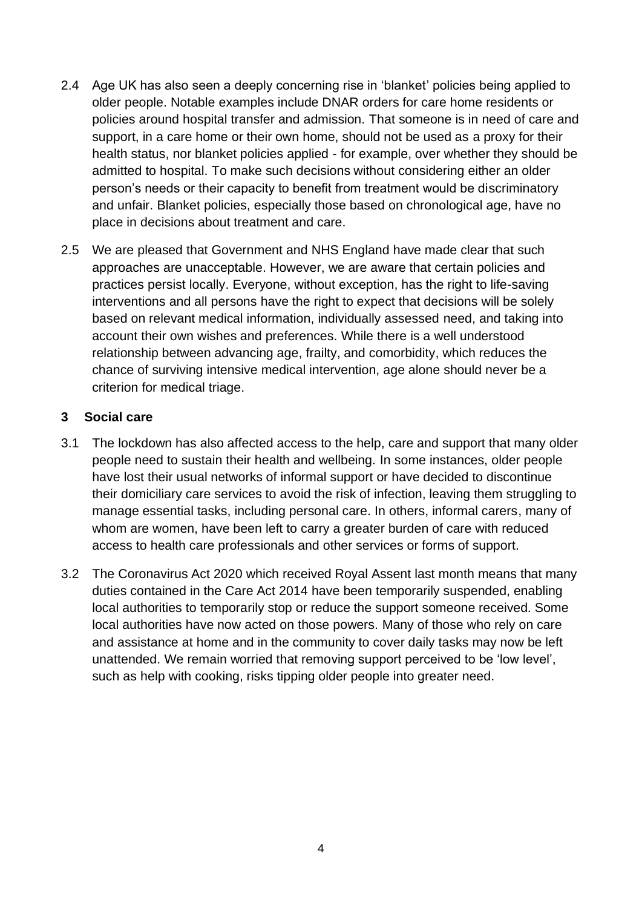- 2.4 Age UK has also seen a deeply concerning rise in 'blanket' policies being applied to older people. Notable examples include DNAR orders for care home residents or policies around hospital transfer and admission. That someone is in need of care and support, in a care home or their own home, should not be used as a proxy for their health status, nor blanket policies applied - for example, over whether they should be admitted to hospital. To make such decisions without considering either an older person's needs or their capacity to benefit from treatment would be discriminatory and unfair. Blanket policies, especially those based on chronological age, have no place in decisions about treatment and care.
- 2.5 We are pleased that Government and NHS England have made clear that such approaches are unacceptable. However, we are aware that certain policies and practices persist locally. Everyone, without exception, has the right to life-saving interventions and all persons have the right to expect that decisions will be solely based on relevant medical information, individually assessed need, and taking into account their own wishes and preferences. While there is a well understood relationship between advancing age, frailty, and comorbidity, which reduces the chance of surviving intensive medical intervention, age alone should never be a criterion for medical triage.

### **3 Social care**

- 3.1 The lockdown has also affected access to the help, care and support that many older people need to sustain their health and wellbeing. In some instances, older people have lost their usual networks of informal support or have decided to discontinue their domiciliary care services to avoid the risk of infection, leaving them struggling to manage essential tasks, including personal care. In others, informal carers, many of whom are women, have been left to carry a greater burden of care with reduced access to health care professionals and other services or forms of support.
- 3.2 The Coronavirus Act 2020 which received Royal Assent last month means that many duties contained in the Care Act 2014 have been temporarily suspended, enabling local authorities to temporarily stop or reduce the support someone received. Some local authorities have now acted on those powers. Many of those who rely on care and assistance at home and in the community to cover daily tasks may now be left unattended. We remain worried that removing support perceived to be 'low level', such as help with cooking, risks tipping older people into greater need.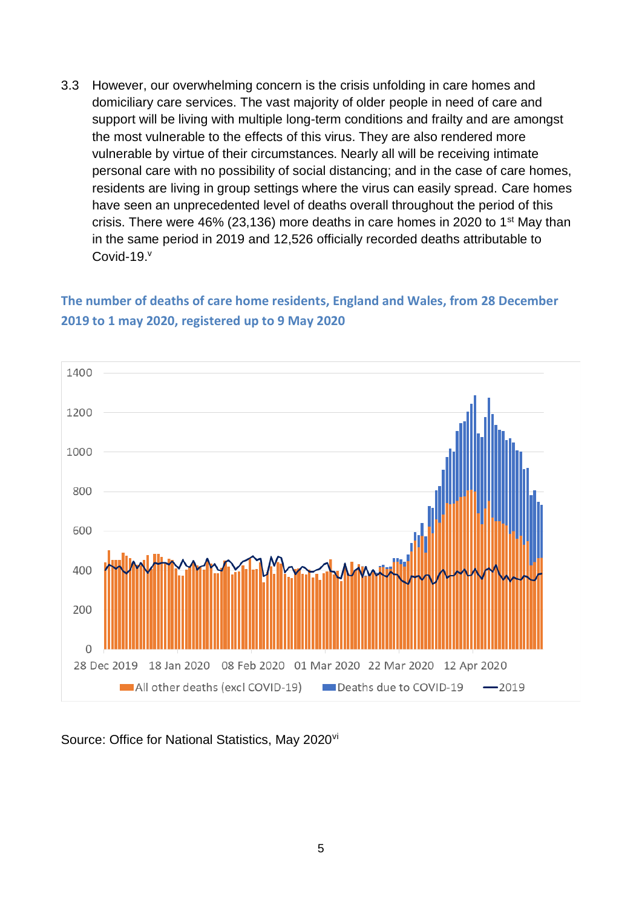3.3 However, our overwhelming concern is the crisis unfolding in care homes and domiciliary care services. The vast majority of older people in need of care and support will be living with multiple long-term conditions and frailty and are amongst the most vulnerable to the effects of this virus. They are also rendered more vulnerable by virtue of their circumstances. Nearly all will be receiving intimate personal care with no possibility of social distancing; and in the case of care homes, residents are living in group settings where the virus can easily spread. Care homes have seen an unprecedented level of deaths overall throughout the period of this crisis. There were  $46\%$  (23,136) more deaths in care homes in 2020 to 1<sup>st</sup> May than in the same period in 2019 and 12,526 officially recorded deaths attributable to Covid-19.<sup>v</sup>

# **The number of deaths of care home residents, England and Wales, from 28 December 2019 to 1 may 2020, registered up to 9 May 2020**



Source: Office for National Statistics, May 2020<sup>vi</sup>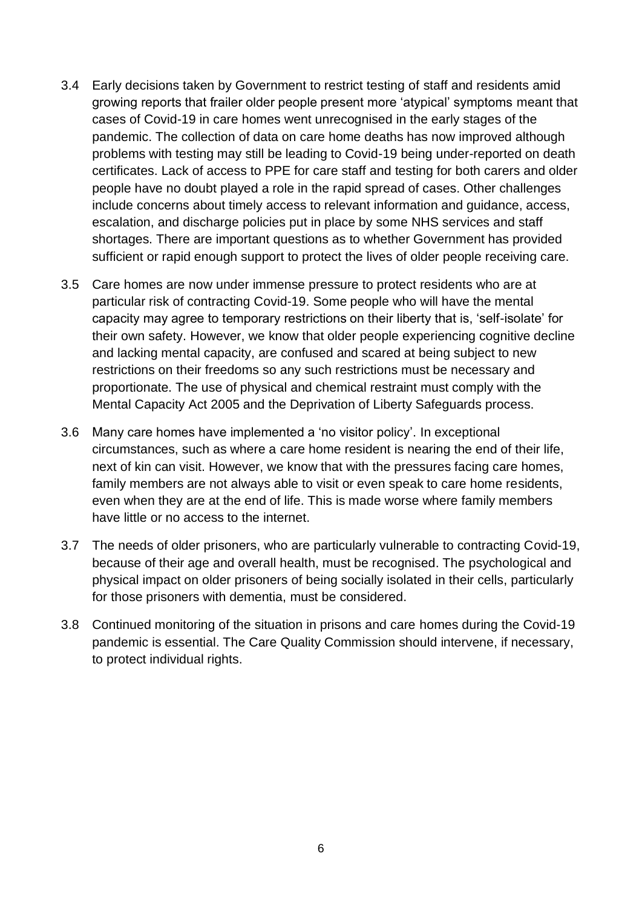- 3.4 Early decisions taken by Government to restrict testing of staff and residents amid growing reports that frailer older people present more 'atypical' symptoms meant that cases of Covid-19 in care homes went unrecognised in the early stages of the pandemic. The collection of data on care home deaths has now improved although problems with testing may still be leading to Covid-19 being under-reported on death certificates. Lack of access to PPE for care staff and testing for both carers and older people have no doubt played a role in the rapid spread of cases. Other challenges include concerns about timely access to relevant information and guidance, access, escalation, and discharge policies put in place by some NHS services and staff shortages. There are important questions as to whether Government has provided sufficient or rapid enough support to protect the lives of older people receiving care.
- 3.5 Care homes are now under immense pressure to protect residents who are at particular risk of contracting Covid-19. Some people who will have the mental capacity may agree to temporary restrictions on their liberty that is, 'self-isolate' for their own safety. However, we know that older people experiencing cognitive decline and lacking mental capacity, are confused and scared at being subject to new restrictions on their freedoms so any such restrictions must be necessary and proportionate. The use of physical and chemical restraint must comply with the Mental Capacity Act 2005 and the Deprivation of Liberty Safeguards process.
- 3.6 Many care homes have implemented a 'no visitor policy'. In exceptional circumstances, such as where a care home resident is nearing the end of their life, next of kin can visit. However, we know that with the pressures facing care homes, family members are not always able to visit or even speak to care home residents, even when they are at the end of life. This is made worse where family members have little or no access to the internet.
- 3.7 The needs of older prisoners, who are particularly vulnerable to contracting Covid-19, because of their age and overall health, must be recognised. The psychological and physical impact on older prisoners of being socially isolated in their cells, particularly for those prisoners with dementia, must be considered.
- 3.8 Continued monitoring of the situation in prisons and care homes during the Covid-19 pandemic is essential. The Care Quality Commission should intervene, if necessary, to protect individual rights.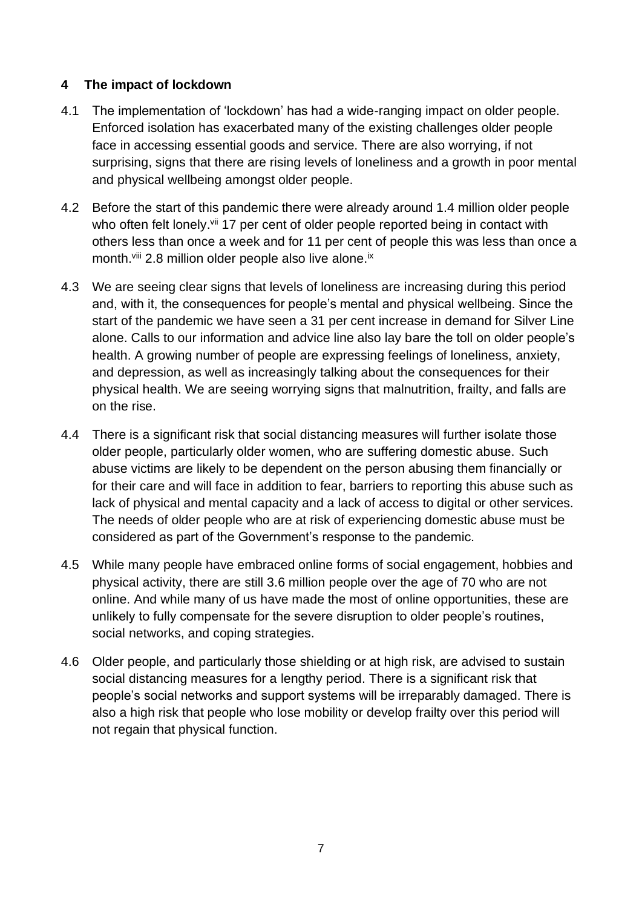## **4 The impact of lockdown**

- 4.1 The implementation of 'lockdown' has had a wide-ranging impact on older people. Enforced isolation has exacerbated many of the existing challenges older people face in accessing essential goods and service. There are also worrying, if not surprising, signs that there are rising levels of loneliness and a growth in poor mental and physical wellbeing amongst older people.
- 4.2 Before the start of this pandemic there were already around 1.4 million older people who often felt lonely.<sup>vii</sup> 17 per cent of older people reported being in contact with others less than once a week and for 11 per cent of people this was less than once a month.<sup>viii</sup> 2.8 million older people also live alone.<sup>ix</sup>
- 4.3 We are seeing clear signs that levels of loneliness are increasing during this period and, with it, the consequences for people's mental and physical wellbeing. Since the start of the pandemic we have seen a 31 per cent increase in demand for Silver Line alone. Calls to our information and advice line also lay bare the toll on older people's health. A growing number of people are expressing feelings of loneliness, anxiety, and depression, as well as increasingly talking about the consequences for their physical health. We are seeing worrying signs that malnutrition, frailty, and falls are on the rise.
- 4.4 There is a significant risk that social distancing measures will further isolate those older people, particularly older women, who are suffering domestic abuse. Such abuse victims are likely to be dependent on the person abusing them financially or for their care and will face in addition to fear, barriers to reporting this abuse such as lack of physical and mental capacity and a lack of access to digital or other services. The needs of older people who are at risk of experiencing domestic abuse must be considered as part of the Government's response to the pandemic.
- 4.5 While many people have embraced online forms of social engagement, hobbies and physical activity, there are still 3.6 million people over the age of 70 who are not online. And while many of us have made the most of online opportunities, these are unlikely to fully compensate for the severe disruption to older people's routines, social networks, and coping strategies.
- 4.6 Older people, and particularly those shielding or at high risk, are advised to sustain social distancing measures for a lengthy period. There is a significant risk that people's social networks and support systems will be irreparably damaged. There is also a high risk that people who lose mobility or develop frailty over this period will not regain that physical function.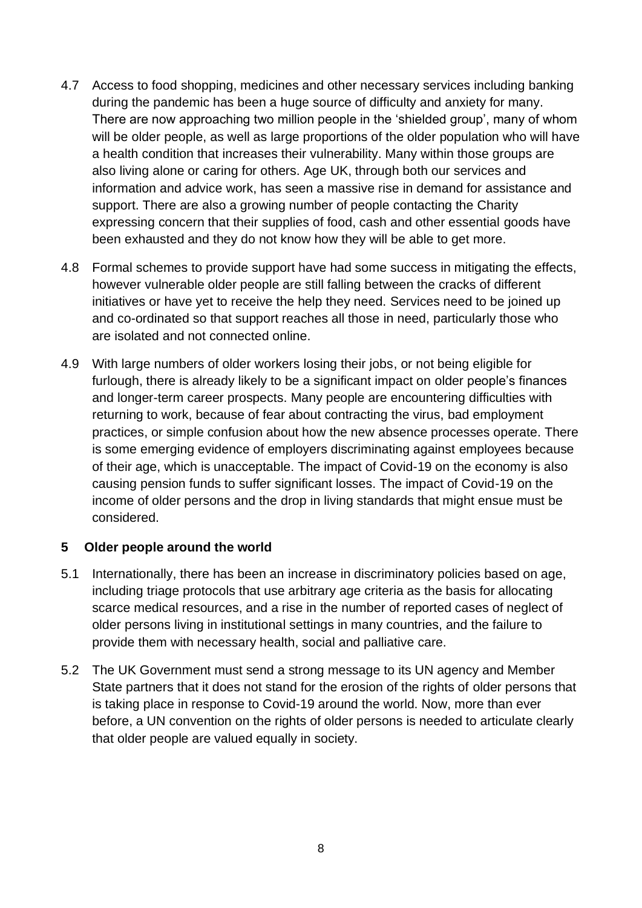- 4.7 Access to food shopping, medicines and other necessary services including banking during the pandemic has been a huge source of difficulty and anxiety for many. There are now approaching two million people in the 'shielded group', many of whom will be older people, as well as large proportions of the older population who will have a health condition that increases their vulnerability. Many within those groups are also living alone or caring for others. Age UK, through both our services and information and advice work, has seen a massive rise in demand for assistance and support. There are also a growing number of people contacting the Charity expressing concern that their supplies of food, cash and other essential goods have been exhausted and they do not know how they will be able to get more.
- 4.8 Formal schemes to provide support have had some success in mitigating the effects, however vulnerable older people are still falling between the cracks of different initiatives or have yet to receive the help they need. Services need to be joined up and co-ordinated so that support reaches all those in need, particularly those who are isolated and not connected online.
- 4.9 With large numbers of older workers losing their jobs, or not being eligible for furlough, there is already likely to be a significant impact on older people's finances and longer-term career prospects. Many people are encountering difficulties with returning to work, because of fear about contracting the virus, bad employment practices, or simple confusion about how the new absence processes operate. There is some emerging evidence of employers discriminating against employees because of their age, which is unacceptable. The impact of Covid-19 on the economy is also causing pension funds to suffer significant losses. The impact of Covid-19 on the income of older persons and the drop in living standards that might ensue must be considered.

## **5 Older people around the world**

- 5.1 Internationally, there has been an increase in discriminatory policies based on age, including triage protocols that use arbitrary age criteria as the basis for allocating scarce medical resources, and a rise in the number of reported cases of neglect of older persons living in institutional settings in many countries, and the failure to provide them with necessary health, social and palliative care.
- 5.2 The UK Government must send a strong message to its UN agency and Member State partners that it does not stand for the erosion of the rights of older persons that is taking place in response to Covid-19 around the world. Now, more than ever before, a UN convention on the rights of older persons is needed to articulate clearly that older people are valued equally in society.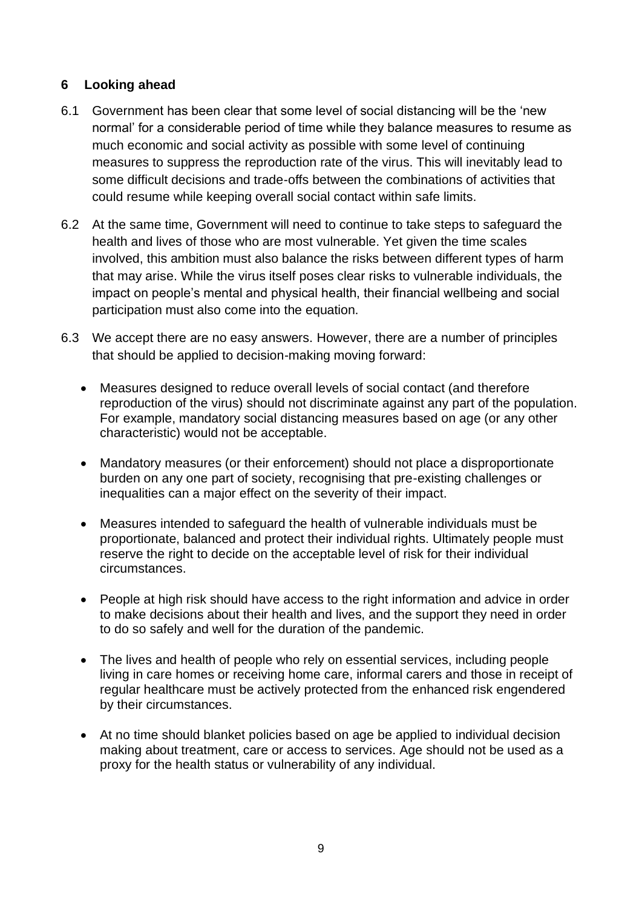## **6 Looking ahead**

- 6.1 Government has been clear that some level of social distancing will be the 'new normal' for a considerable period of time while they balance measures to resume as much economic and social activity as possible with some level of continuing measures to suppress the reproduction rate of the virus. This will inevitably lead to some difficult decisions and trade-offs between the combinations of activities that could resume while keeping overall social contact within safe limits.
- 6.2 At the same time, Government will need to continue to take steps to safeguard the health and lives of those who are most vulnerable. Yet given the time scales involved, this ambition must also balance the risks between different types of harm that may arise. While the virus itself poses clear risks to vulnerable individuals, the impact on people's mental and physical health, their financial wellbeing and social participation must also come into the equation.
- 6.3 We accept there are no easy answers. However, there are a number of principles that should be applied to decision-making moving forward:
	- Measures designed to reduce overall levels of social contact (and therefore reproduction of the virus) should not discriminate against any part of the population. For example, mandatory social distancing measures based on age (or any other characteristic) would not be acceptable.
	- Mandatory measures (or their enforcement) should not place a disproportionate burden on any one part of society, recognising that pre-existing challenges or inequalities can a major effect on the severity of their impact.
	- Measures intended to safeguard the health of vulnerable individuals must be proportionate, balanced and protect their individual rights. Ultimately people must reserve the right to decide on the acceptable level of risk for their individual circumstances.
	- People at high risk should have access to the right information and advice in order to make decisions about their health and lives, and the support they need in order to do so safely and well for the duration of the pandemic.
	- The lives and health of people who rely on essential services, including people living in care homes or receiving home care, informal carers and those in receipt of regular healthcare must be actively protected from the enhanced risk engendered by their circumstances.
	- At no time should blanket policies based on age be applied to individual decision making about treatment, care or access to services. Age should not be used as a proxy for the health status or vulnerability of any individual.